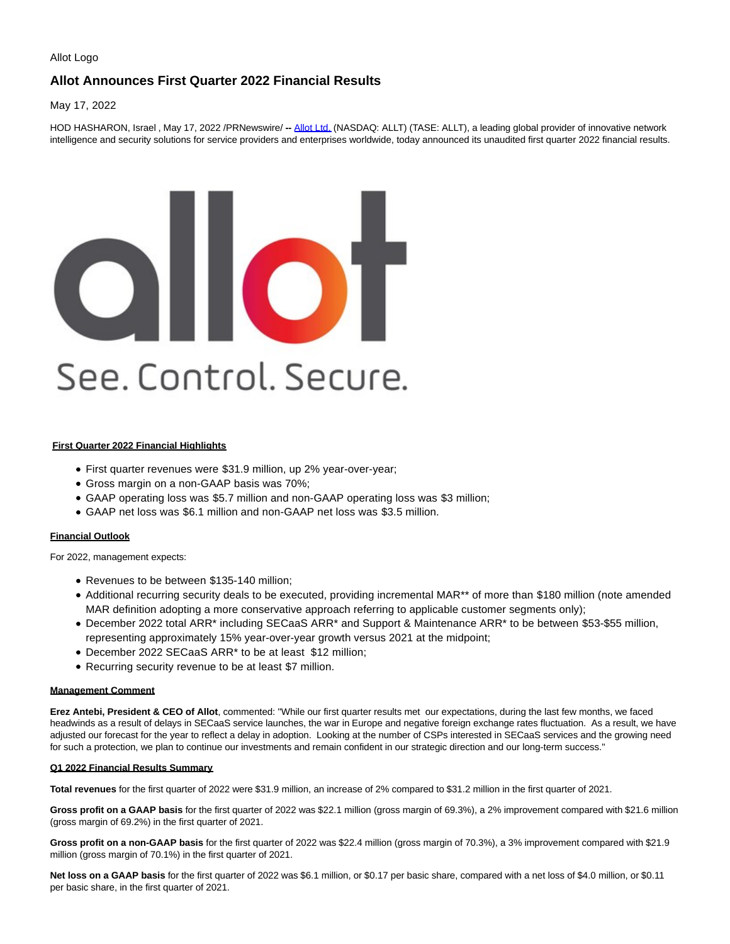#### Allot Logo

## **Allot Announces First Quarter 2022 Financial Results**

May 17, 2022

HOD HASHARON, Israel , May 17, 2022 /PRNewswire/ **--** [Allot Ltd. \(](http://www.allot.com/)NASDAQ: ALLT) (TASE: ALLT), a leading global provider of innovative network intelligence and security solutions for service providers and enterprises worldwide, today announced its unaudited first quarter 2022 financial results.

# DIIOT See. Control. Secure.

## **First Quarter 2022 Financial Highlights**

- First quarter revenues were \$31.9 million, up 2% year-over-year;
- Gross margin on a non-GAAP basis was 70%;
- GAAP operating loss was \$5.7 million and non-GAAP operating loss was \$3 million;
- GAAP net loss was \$6.1 million and non-GAAP net loss was \$3.5 million.

## **Financial Outlook**

For 2022, management expects:

- Revenues to be between \$135-140 million;
- Additional recurring security deals to be executed, providing incremental MAR\*\* of more than \$180 million (note amended MAR definition adopting a more conservative approach referring to applicable customer segments only);
- December 2022 total ARR\* including SECaaS ARR\* and Support & Maintenance ARR\* to be between \$53-\$55 million, representing approximately 15% year-over-year growth versus 2021 at the midpoint;
- December 2022 SECaaS ARR\* to be at least \$12 million;
- Recurring security revenue to be at least \$7 million.

#### **Management Comment**

**Erez Antebi, President & CEO of Allot**, commented: "While our first quarter results met our expectations, during the last few months, we faced headwinds as a result of delays in SECaaS service launches, the war in Europe and negative foreign exchange rates fluctuation. As a result, we have adjusted our forecast for the year to reflect a delay in adoption. Looking at the number of CSPs interested in SECaaS services and the growing need for such a protection, we plan to continue our investments and remain confident in our strategic direction and our long-term success."

#### **Q1 2022 Financial Results Summary**

**Total revenues** for the first quarter of 2022 were \$31.9 million, an increase of 2% compared to \$31.2 million in the first quarter of 2021.

**Gross profit on a GAAP basis** for the first quarter of 2022 was \$22.1 million (gross margin of 69.3%), a 2% improvement compared with \$21.6 million (gross margin of 69.2%) in the first quarter of 2021.

**Gross profit on a non-GAAP basis** for the first quarter of 2022 was \$22.4 million (gross margin of 70.3%), a 3% improvement compared with \$21.9 million (gross margin of 70.1%) in the first quarter of 2021.

**Net loss on a GAAP basis** for the first quarter of 2022 was \$6.1 million, or \$0.17 per basic share, compared with a net loss of \$4.0 million, or \$0.11 per basic share, in the first quarter of 2021.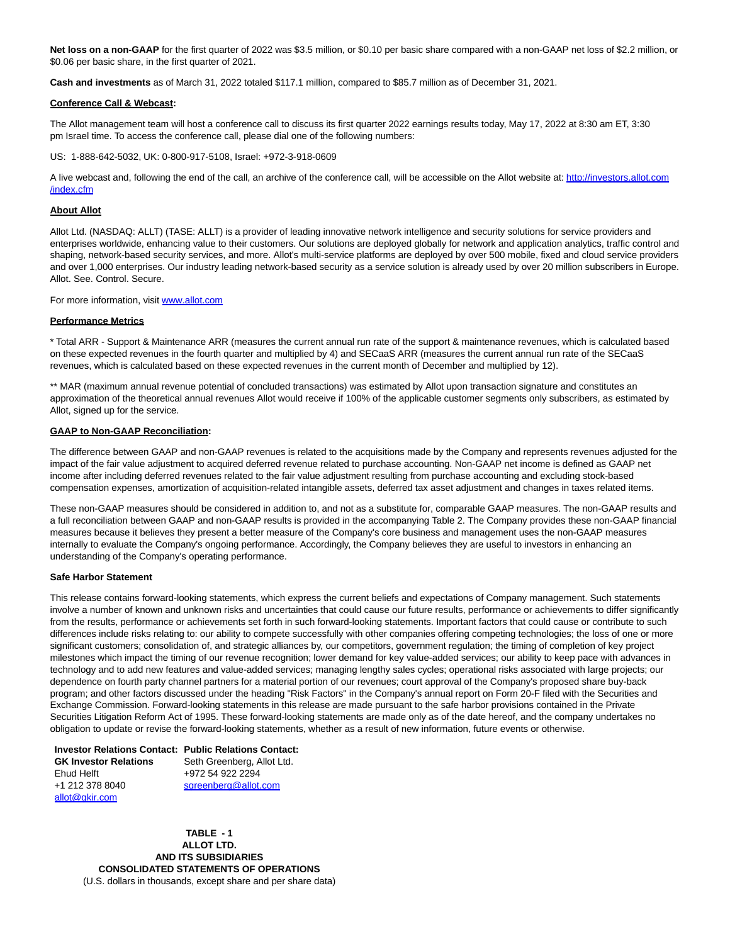**Net loss on a non-GAAP** for the first quarter of 2022 was \$3.5 million, or \$0.10 per basic share compared with a non-GAAP net loss of \$2.2 million, or \$0.06 per basic share, in the first quarter of 2021.

**Cash and investments** as of March 31, 2022 totaled \$117.1 million, compared to \$85.7 million as of December 31, 2021.

#### **Conference Call & Webcast:**

The Allot management team will host a conference call to discuss its first quarter 2022 earnings results today, May 17, 2022 at 8:30 am ET, 3:30 pm Israel time. To access the conference call, please dial one of the following numbers:

US: 1-888-642-5032, UK: 0-800-917-5108, Israel: +972-3-918-0609

A live webcast and, following the end of the call, an archive of the conference call, will be accessible on the Allot website at[: http://investors.allot.com](http://investors.allot.com/index.cfm) /index.cfm

#### **About Allot**

Allot Ltd. (NASDAQ: ALLT) (TASE: ALLT) is a provider of leading innovative network intelligence and security solutions for service providers and enterprises worldwide, enhancing value to their customers. Our solutions are deployed globally for network and application analytics, traffic control and shaping, network-based security services, and more. Allot's multi-service platforms are deployed by over 500 mobile, fixed and cloud service providers and over 1,000 enterprises. Our industry leading network-based security as a service solution is already used by over 20 million subscribers in Europe. Allot. See. Control. Secure.

For more information, visit [www.allot.com](http://www.allot.com/)

#### **Performance Metrics**

\* Total ARR - Support & Maintenance ARR (measures the current annual run rate of the support & maintenance revenues, which is calculated based on these expected revenues in the fourth quarter and multiplied by 4) and SECaaS ARR (measures the current annual run rate of the SECaaS revenues, which is calculated based on these expected revenues in the current month of December and multiplied by 12).

\*\* MAR (maximum annual revenue potential of concluded transactions) was estimated by Allot upon transaction signature and constitutes an approximation of the theoretical annual revenues Allot would receive if 100% of the applicable customer segments only subscribers, as estimated by Allot, signed up for the service.

#### **GAAP to Non-GAAP Reconciliation:**

The difference between GAAP and non-GAAP revenues is related to the acquisitions made by the Company and represents revenues adjusted for the impact of the fair value adjustment to acquired deferred revenue related to purchase accounting. Non-GAAP net income is defined as GAAP net income after including deferred revenues related to the fair value adjustment resulting from purchase accounting and excluding stock-based compensation expenses, amortization of acquisition-related intangible assets, deferred tax asset adjustment and changes in taxes related items.

These non-GAAP measures should be considered in addition to, and not as a substitute for, comparable GAAP measures. The non-GAAP results and a full reconciliation between GAAP and non-GAAP results is provided in the accompanying Table 2. The Company provides these non-GAAP financial measures because it believes they present a better measure of the Company's core business and management uses the non-GAAP measures internally to evaluate the Company's ongoing performance. Accordingly, the Company believes they are useful to investors in enhancing an understanding of the Company's operating performance.

#### **Safe Harbor Statement**

This release contains forward-looking statements, which express the current beliefs and expectations of Company management. Such statements involve a number of known and unknown risks and uncertainties that could cause our future results, performance or achievements to differ significantly from the results, performance or achievements set forth in such forward-looking statements. Important factors that could cause or contribute to such differences include risks relating to: our ability to compete successfully with other companies offering competing technologies; the loss of one or more significant customers; consolidation of, and strategic alliances by, our competitors, government regulation; the timing of completion of key project milestones which impact the timing of our revenue recognition; lower demand for key value-added services; our ability to keep pace with advances in technology and to add new features and value-added services; managing lengthy sales cycles; operational risks associated with large projects; our dependence on fourth party channel partners for a material portion of our revenues; court approval of the Company's proposed share buy-back program; and other factors discussed under the heading "Risk Factors" in the Company's annual report on Form 20-F filed with the Securities and Exchange Commission. Forward-looking statements in this release are made pursuant to the safe harbor provisions contained in the Private Securities Litigation Reform Act of 1995. These forward-looking statements are made only as of the date hereof, and the company undertakes no obligation to update or revise the forward-looking statements, whether as a result of new information, future events or otherwise.

**Investor Relations Contact: Public Relations Contact: GK Investor Relations** Ehud Helft +1 212 378 8040 [allot@gkir.com](mailto:allot@gkir.com) Seth Greenberg, Allot Ltd. +972 54 922 2294 [sgreenberg@allot.com](mailto:sgreenberg@allot.com)

> **TABLE - 1 ALLOT LTD. AND ITS SUBSIDIARIES CONSOLIDATED STATEMENTS OF OPERATIONS** (U.S. dollars in thousands, except share and per share data)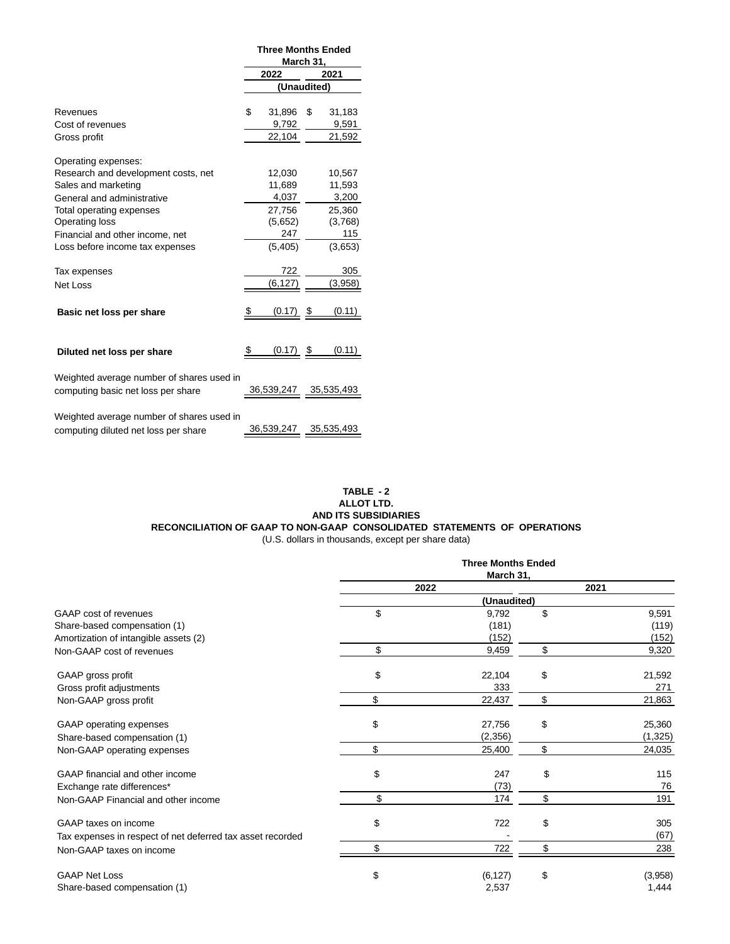|                                           | <b>Three Months Ended</b><br>March 31, |             |    |            |
|-------------------------------------------|----------------------------------------|-------------|----|------------|
|                                           |                                        | 2022        |    | 2021       |
|                                           |                                        | (Unaudited) |    |            |
|                                           |                                        |             |    |            |
| Revenues                                  | \$                                     | 31,896      | \$ | 31,183     |
| Cost of revenues                          |                                        | 9,792       |    | 9,591      |
| Gross profit                              |                                        | 22,104      |    | 21,592     |
| Operating expenses:                       |                                        |             |    |            |
| Research and development costs, net       |                                        | 12,030      |    | 10,567     |
| Sales and marketing                       |                                        | 11,689      |    | 11.593     |
| General and administrative                |                                        | 4,037       |    | 3,200      |
| Total operating expenses                  |                                        | 27,756      |    | 25,360     |
| Operating loss                            |                                        | (5,652)     |    | (3,768)    |
| Financial and other income, net           |                                        | 247         |    | 115        |
| Loss before income tax expenses           |                                        | (5, 405)    |    | (3,653)    |
| Tax expenses                              |                                        | 722         |    | 305        |
| Net Loss                                  |                                        | (6, 127)    |    | (3,958)    |
|                                           |                                        |             |    |            |
| Basic net loss per share                  | \$                                     | (0.17)      | \$ | (0.11)     |
|                                           |                                        |             |    |            |
| Diluted net loss per share                |                                        | $(0.17)$ \$ |    | (0.11)     |
| Weighted average number of shares used in |                                        |             |    |            |
| computing basic net loss per share        |                                        | 36,539,247  |    | 35,535,493 |
| Weighted average number of shares used in |                                        |             |    |            |
| computing diluted net loss per share      |                                        | 36,539,247  |    | 35,535,493 |
|                                           |                                        |             |    |            |

## **TABLE - 2 ALLOT LTD. AND ITS SUBSIDIARIES RECONCILIATION OF GAAP TO NON-GAAP CONSOLIDATED STATEMENTS OF OPERATIONS** (U.S. dollars in thousands, except per share data)

|                                                            | <b>Three Months Ended</b> |             |    |         |  |
|------------------------------------------------------------|---------------------------|-------------|----|---------|--|
|                                                            | March 31,                 |             |    |         |  |
|                                                            | 2022                      |             |    | 2021    |  |
|                                                            |                           | (Unaudited) |    |         |  |
| GAAP cost of revenues                                      | \$                        | 9,792       | \$ | 9,591   |  |
| Share-based compensation (1)                               |                           | (181)       |    | (119)   |  |
| Amortization of intangible assets (2)                      |                           | (152)       |    | (152)   |  |
| Non-GAAP cost of revenues                                  | \$                        | 9,459       | \$ | 9,320   |  |
| GAAP gross profit                                          | \$                        | 22,104      | \$ | 21,592  |  |
| Gross profit adjustments                                   |                           | 333         |    | 271     |  |
| Non-GAAP gross profit                                      | \$                        | 22,437      | \$ | 21,863  |  |
| GAAP operating expenses                                    | \$                        | 27,756      | \$ | 25,360  |  |
| Share-based compensation (1)                               |                           | (2,356)     |    | (1,325) |  |
| Non-GAAP operating expenses                                | \$                        | 25,400      | \$ | 24,035  |  |
| GAAP financial and other income                            | \$                        | 247         | \$ | 115     |  |
| Exchange rate differences*                                 |                           | (73)        |    | 76      |  |
| Non-GAAP Financial and other income                        | \$                        | 174         | \$ | 191     |  |
| GAAP taxes on income                                       | \$                        | 722         | \$ | 305     |  |
| Tax expenses in respect of net deferred tax asset recorded |                           |             |    | (67)    |  |
| Non-GAAP taxes on income                                   | \$                        | 722         | \$ | 238     |  |
| <b>GAAP Net Loss</b>                                       | \$                        | (6, 127)    | \$ | (3,958) |  |
| Share-based compensation (1)                               |                           | 2,537       |    | 1,444   |  |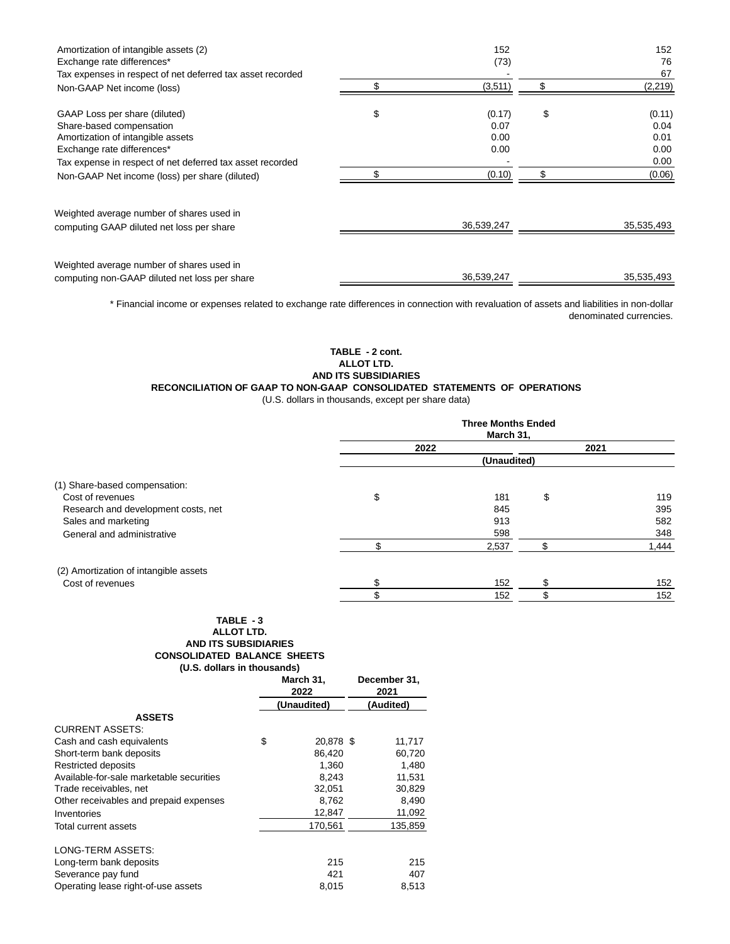| Amortization of intangible assets (2)<br>Exchange rate differences* | 152<br>(73)  | 152<br>76<br>67 |
|---------------------------------------------------------------------|--------------|-----------------|
| Tax expenses in respect of net deferred tax asset recorded          | \$           |                 |
| Non-GAAP Net income (loss)                                          | (3,511)      | (2,219)         |
| GAAP Loss per share (diluted)                                       | \$<br>(0.17) | \$<br>(0.11)    |
| Share-based compensation                                            | 0.07         | 0.04            |
| Amortization of intangible assets                                   | 0.00         | 0.01            |
| Exchange rate differences*                                          | 0.00         | 0.00            |
| Tax expense in respect of net deferred tax asset recorded           |              | 0.00            |
| Non-GAAP Net income (loss) per share (diluted)                      | (0.10)       | (0.06)          |
| Weighted average number of shares used in                           |              |                 |
| computing GAAP diluted net loss per share                           | 36,539,247   | 35,535,493      |
|                                                                     |              |                 |
| Weighted average number of shares used in                           |              |                 |
| computing non-GAAP diluted net loss per share                       | 36,539,247   | 35,535,493      |

\* Financial income or expenses related to exchange rate differences in connection with revaluation of assets and liabilities in non-dollar denominated currencies.

> **TABLE - 2 cont. ALLOT LTD. AND ITS SUBSIDIARIES**

# **RECONCILIATION OF GAAP TO NON-GAAP CONSOLIDATED STATEMENTS OF OPERATIONS**

(U.S. dollars in thousands, except per share data)

|                                       | <b>Three Months Ended</b><br>March 31, |             |    |       |  |
|---------------------------------------|----------------------------------------|-------------|----|-------|--|
|                                       | 2022                                   |             |    | 2021  |  |
|                                       |                                        | (Unaudited) |    |       |  |
| (1) Share-based compensation:         |                                        |             |    |       |  |
| Cost of revenues                      | \$                                     | 181         | \$ | 119   |  |
| Research and development costs, net   |                                        | 845         |    | 395   |  |
| Sales and marketing                   |                                        | 913         |    | 582   |  |
| General and administrative            |                                        | 598         |    | 348   |  |
|                                       |                                        | 2,537       |    | 1,444 |  |
| (2) Amortization of intangible assets |                                        |             |    |       |  |
| Cost of revenues                      | \$                                     | 152         | ъ  | 152   |  |
|                                       |                                        | 152         |    | 152   |  |

#### **TABLE - 3 ALLOT LTD. AND ITS SUBSIDIARIES CONSOLIDATED BALANCE SHEETS (U.S. dollars in thousands)**

|                                          | March 31,<br>2022 |             | December 31,<br>2021 |
|------------------------------------------|-------------------|-------------|----------------------|
|                                          |                   | (Unaudited) | (Audited)            |
| <b>ASSETS</b>                            |                   |             |                      |
| <b>CURRENT ASSETS:</b>                   |                   |             |                      |
| Cash and cash equivalents                | \$                | 20,878 \$   | 11,717               |
| Short-term bank deposits                 |                   | 86.420      | 60,720               |
| Restricted deposits                      |                   | 1,360       | 1,480                |
| Available-for-sale marketable securities |                   | 8,243       | 11,531               |
| Trade receivables, net                   |                   | 32,051      | 30,829               |
| Other receivables and prepaid expenses   |                   | 8,762       | 8,490                |
| Inventories                              |                   | 12,847      | 11,092               |
| Total current assets                     |                   | 170.561     | 135,859              |
| LONG-TERM ASSETS:                        |                   |             |                      |
| Long-term bank deposits                  |                   | 215         | 215                  |
| Severance pay fund                       |                   | 421         | 407                  |
| Operating lease right-of-use assets      |                   | 8,015       | 8,513                |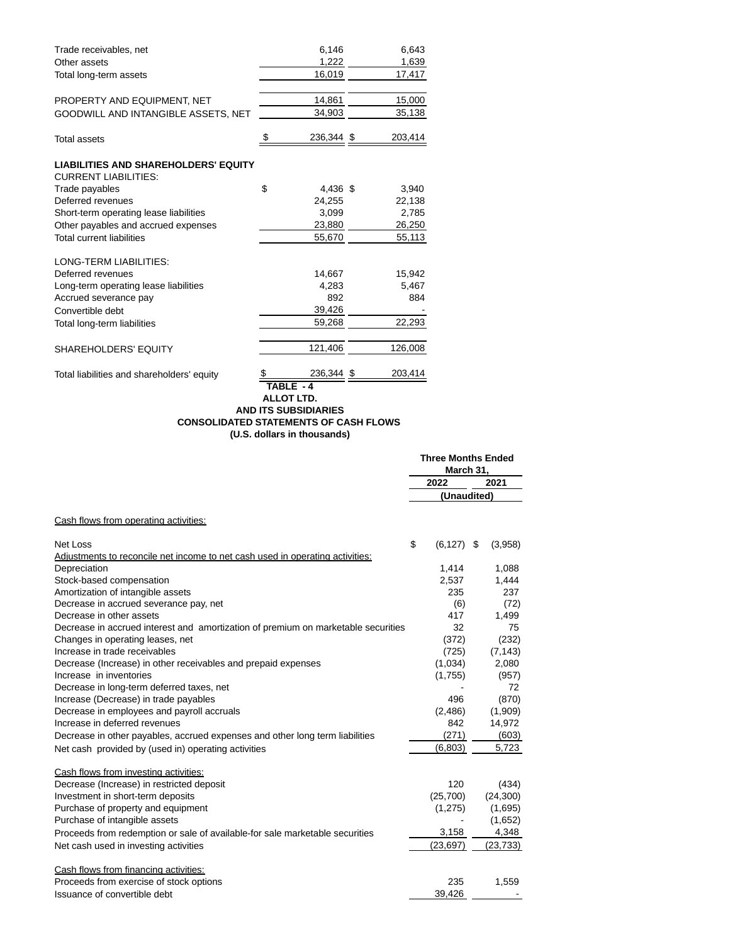| Trade receivables, net                                                     | 6,146            |      | 6,643   |
|----------------------------------------------------------------------------|------------------|------|---------|
| Other assets                                                               | 1,222            |      | 1,639   |
| Total long-term assets                                                     | 16,019           |      | 17,417  |
| PROPERTY AND EQUIPMENT, NET                                                | 14,861           |      | 15,000  |
| GOODWILL AND INTANGIBLE ASSETS, NET                                        | 34,903           |      | 35,138  |
| <b>Total assets</b>                                                        | \$<br>236,344 \$ |      | 203,414 |
| <b>LIABILITIES AND SHAREHOLDERS' EQUITY</b><br><b>CURRENT LIABILITIES:</b> |                  |      |         |
| Trade payables                                                             | \$<br>4,436 \$   |      | 3,940   |
| Deferred revenues                                                          | 24,255           |      | 22,138  |
| Short-term operating lease liabilities                                     | 3,099            |      | 2,785   |
| Other payables and accrued expenses                                        | 23,880           |      | 26,250  |
| <b>Total current liabilities</b>                                           | 55,670           |      | 55,113  |
| <b>LONG-TERM LIABILITIES:</b>                                              |                  |      |         |
| Deferred revenues                                                          | 14,667           |      | 15,942  |
| Long-term operating lease liabilities                                      | 4,283            |      | 5,467   |
| Accrued severance pay                                                      | 892              |      | 884     |
| Convertible debt                                                           | 39,426           |      |         |
| Total long-term liabilities                                                | 59,268           |      | 22,293  |
| <b>SHAREHOLDERS' EQUITY</b>                                                | 121,406          |      | 126,008 |
| Total liabilities and shareholders' equity                                 | 236,344          | - \$ | 203,414 |
|                                                                            | TABLE - 4        |      |         |

#### **ALLOT LTD. AND ITS SUBSIDIARIES CONSOLIDATED STATEMENTS OF CASH FLOWS (U.S. dollars in thousands)**

|                                                                                   | <b>Three Months Ended</b><br>March 31, |               |  |           |
|-----------------------------------------------------------------------------------|----------------------------------------|---------------|--|-----------|
|                                                                                   |                                        | 2022          |  | 2021      |
|                                                                                   |                                        | (Unaudited)   |  |           |
| Cash flows from operating activities:                                             |                                        |               |  |           |
| Net Loss                                                                          | \$                                     | $(6, 127)$ \$ |  | (3,958)   |
| Adjustments to reconcile net income to net cash used in operating activities:     |                                        |               |  |           |
| Depreciation                                                                      |                                        | 1,414         |  | 1,088     |
| Stock-based compensation                                                          |                                        | 2,537         |  | 1,444     |
| Amortization of intangible assets                                                 |                                        | 235           |  | 237       |
| Decrease in accrued severance pay, net                                            |                                        | (6)           |  | (72)      |
| Decrease in other assets                                                          |                                        | 417           |  | 1,499     |
| Decrease in accrued interest and amortization of premium on marketable securities |                                        | 32            |  | 75        |
| Changes in operating leases, net                                                  |                                        | (372)         |  | (232)     |
| Increase in trade receivables                                                     |                                        | (725)         |  | (7, 143)  |
| Decrease (Increase) in other receivables and prepaid expenses                     |                                        | (1,034)       |  | 2,080     |
| Increase in inventories                                                           |                                        | (1,755)       |  | (957)     |
| Decrease in long-term deferred taxes, net                                         |                                        |               |  | 72        |
| Increase (Decrease) in trade payables                                             |                                        | 496           |  | (870)     |
| Decrease in employees and payroll accruals                                        |                                        | (2,486)       |  | (1,909)   |
| Increase in deferred revenues                                                     |                                        | 842           |  | 14,972    |
| Decrease in other payables, accrued expenses and other long term liabilities      |                                        | (271)         |  | (603)     |
| Net cash provided by (used in) operating activities                               |                                        | (6,803)       |  | 5,723     |
| Cash flows from investing activities:                                             |                                        |               |  |           |
| Decrease (Increase) in restricted deposit                                         |                                        | 120           |  | (434)     |
| Investment in short-term deposits                                                 |                                        | (25,700)      |  | (24, 300) |
| Purchase of property and equipment                                                |                                        | (1,275)       |  | (1,695)   |
| Purchase of intangible assets                                                     |                                        |               |  | (1,652)   |
| Proceeds from redemption or sale of available-for sale marketable securities      |                                        | 3,158         |  | 4,348     |
| Net cash used in investing activities                                             |                                        | (23, 697)     |  | (23, 733) |
| Cash flows from financing activities:                                             |                                        |               |  |           |
| Proceeds from exercise of stock options                                           |                                        | 235           |  | 1,559     |
| Issuance of convertible debt                                                      |                                        | 39.426        |  |           |
|                                                                                   |                                        |               |  |           |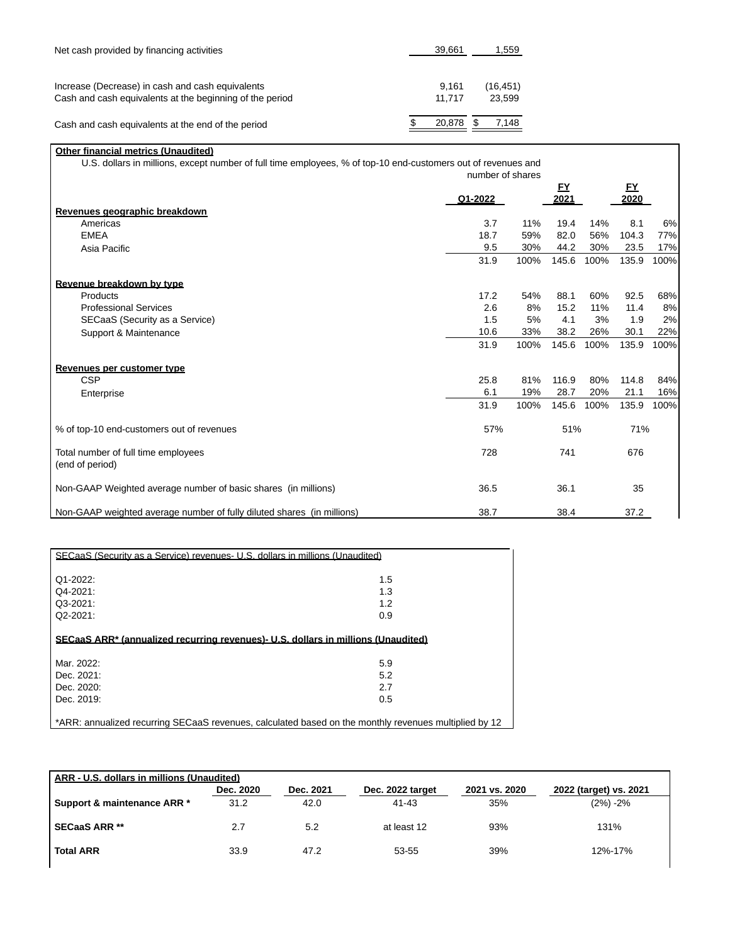| Net cash provided by financing activities                                                                    | 39.661          | 1,559               |  |  |
|--------------------------------------------------------------------------------------------------------------|-----------------|---------------------|--|--|
|                                                                                                              |                 |                     |  |  |
| Increase (Decrease) in cash and cash equivalents<br>Cash and cash equivalents at the beginning of the period | 9.161<br>11.717 | (16, 451)<br>23.599 |  |  |
| Cash and cash equivalents at the end of the period                                                           | 20.878          | 7.148               |  |  |

# **Other financial metrics (Unaudited)**

U.S. dollars in millions, except number of full time employees, % of top-10 end-customers out of revenues and number of shares

|                                                                        | Q1-2022 |      | FY<br>2021 |      | <u>EY</u><br>2020 |      |
|------------------------------------------------------------------------|---------|------|------------|------|-------------------|------|
| Revenues geographic breakdown                                          |         |      |            |      |                   |      |
| Americas                                                               | 3.7     | 11%  | 19.4       | 14%  | 8.1               | 6%   |
| <b>EMEA</b>                                                            | 18.7    | 59%  | 82.0       | 56%  | 104.3             | 77%  |
| Asia Pacific                                                           | 9.5     | 30%  | 44.2       | 30%  | 23.5              | 17%  |
|                                                                        | 31.9    | 100% | 145.6      | 100% | 135.9             | 100% |
| Revenue breakdown by type                                              |         |      |            |      |                   |      |
| Products                                                               | 17.2    | 54%  | 88.1       | 60%  | 92.5              | 68%  |
| <b>Professional Services</b>                                           | 2.6     | 8%   | 15.2       | 11%  | 11.4              | 8%   |
| SECaaS (Security as a Service)                                         | 1.5     | 5%   | 4.1        | 3%   | 1.9               | 2%   |
| Support & Maintenance                                                  | 10.6    | 33%  | 38.2       | 26%  | 30.1              | 22%  |
|                                                                        | 31.9    | 100% | 145.6      | 100% | 135.9             | 100% |
| Revenues per customer type                                             |         |      |            |      |                   |      |
| <b>CSP</b>                                                             | 25.8    | 81%  | 116.9      | 80%  | 114.8             | 84%  |
| Enterprise                                                             | 6.1     | 19%  | 28.7       | 20%  | 21.1              | 16%  |
|                                                                        | 31.9    | 100% | 145.6      | 100% | 135.9             | 100% |
| % of top-10 end-customers out of revenues                              | 57%     |      | 51%        |      | 71%               |      |
| Total number of full time employees<br>(end of period)                 | 728     |      | 741        |      | 676               |      |
| Non-GAAP Weighted average number of basic shares (in millions)         | 36.5    |      | 36.1       |      | 35                |      |
| Non-GAAP weighted average number of fully diluted shares (in millions) | 38.7    |      | 38.4       |      | 37.2              |      |

| SECaaS (Security as a Service) revenues- U.S. dollars in millions (Unaudited)                |                                                                                                       |  |  |  |  |
|----------------------------------------------------------------------------------------------|-------------------------------------------------------------------------------------------------------|--|--|--|--|
| $Q1-2022$ :                                                                                  | 1.5                                                                                                   |  |  |  |  |
| Q4-2021:                                                                                     | 1.3                                                                                                   |  |  |  |  |
| $Q3-2021$ :                                                                                  | 1.2                                                                                                   |  |  |  |  |
| $Q2 - 2021$ :                                                                                | 0.9                                                                                                   |  |  |  |  |
|                                                                                              |                                                                                                       |  |  |  |  |
| SECaaS ARR <sup>*</sup> (annualized recurring revenues) U.S. dollars in millions (Unaudited) |                                                                                                       |  |  |  |  |
| Mar. 2022:                                                                                   | 5.9                                                                                                   |  |  |  |  |
| Dec. 2021:                                                                                   | 5.2                                                                                                   |  |  |  |  |
| Dec. 2020:                                                                                   | 2.7                                                                                                   |  |  |  |  |
| Dec. 2019:                                                                                   | 0.5                                                                                                   |  |  |  |  |
|                                                                                              |                                                                                                       |  |  |  |  |
|                                                                                              | *ARR: annualized recurring SECaaS revenues, calculated based on the monthly revenues multiplied by 12 |  |  |  |  |

| ARR - U.S. dollars in millions (Unaudited) |           |           |                  |               |                        |
|--------------------------------------------|-----------|-----------|------------------|---------------|------------------------|
|                                            | Dec. 2020 | Dec. 2021 | Dec. 2022 target | 2021 vs. 2020 | 2022 (target) vs. 2021 |
| Support & maintenance ARR *                | 31.2      | 42.0      | $41 - 43$        | 35%           | $(2\%) - 2\%$          |
| <b>SECaaS ARR **</b>                       | 2.7       | 5.2       | at least 12      | 93%           | 131%                   |
| <b>Total ARR</b>                           | 33.9      | 47.2      | 53-55            | 39%           | 12%-17%                |